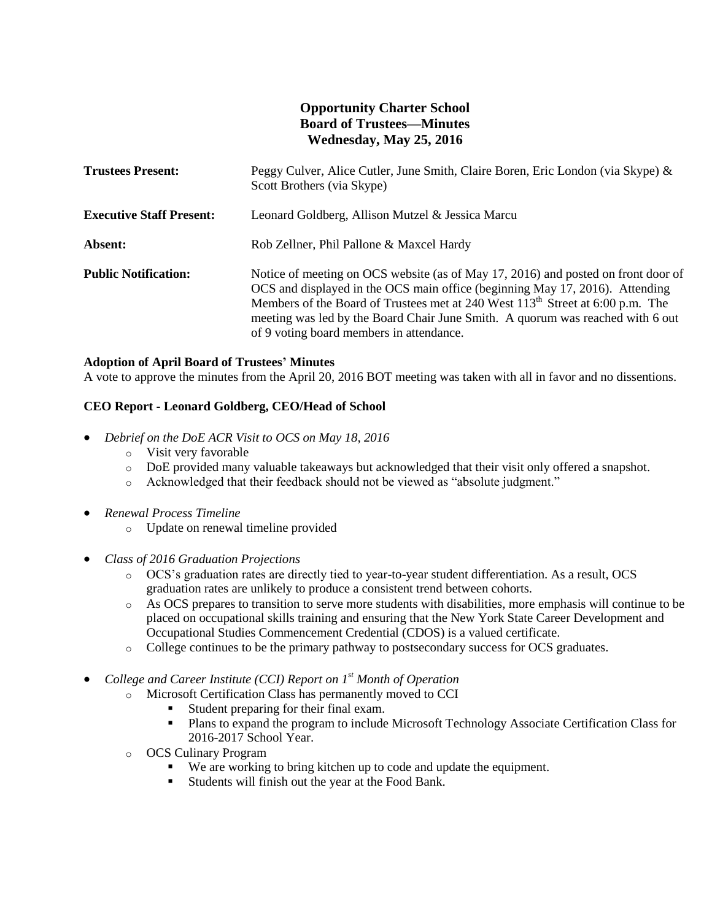# **Opportunity Charter School Board of Trustees—Minutes Wednesday, May 25, 2016**

| <b>Trustees Present:</b>        | Peggy Culver, Alice Cutler, June Smith, Claire Boren, Eric London (via Skype) &<br>Scott Brothers (via Skype)                                                                                                                                                                                                                                                                                 |
|---------------------------------|-----------------------------------------------------------------------------------------------------------------------------------------------------------------------------------------------------------------------------------------------------------------------------------------------------------------------------------------------------------------------------------------------|
| <b>Executive Staff Present:</b> | Leonard Goldberg, Allison Mutzel & Jessica Marcu                                                                                                                                                                                                                                                                                                                                              |
| Absent:                         | Rob Zellner, Phil Pallone & Maxcel Hardy                                                                                                                                                                                                                                                                                                                                                      |
| <b>Public Notification:</b>     | Notice of meeting on OCS website (as of May 17, 2016) and posted on front door of<br>OCS and displayed in the OCS main office (beginning May 17, 2016). Attending<br>Members of the Board of Trustees met at 240 West 113 <sup>th</sup> Street at 6:00 p.m. The<br>meeting was led by the Board Chair June Smith. A quorum was reached with 6 out<br>of 9 voting board members in attendance. |

### **Adoption of April Board of Trustees' Minutes**

A vote to approve the minutes from the April 20, 2016 BOT meeting was taken with all in favor and no dissentions.

### **CEO Report - Leonard Goldberg, CEO/Head of School**

- *Debrief on the DoE ACR Visit to OCS on May 18, 2016*
	- o Visit very favorable
	- o DoE provided many valuable takeaways but acknowledged that their visit only offered a snapshot.
	- o Acknowledged that their feedback should not be viewed as "absolute judgment."
- *Renewal Process Timeline*
	- o Update on renewal timeline provided
- *Class of 2016 Graduation Projections*
	- o OCS's graduation rates are directly tied to year-to-year student differentiation. As a result, OCS graduation rates are unlikely to produce a consistent trend between cohorts.
	- o As OCS prepares to transition to serve more students with disabilities, more emphasis will continue to be placed on occupational skills training and ensuring that the New York State Career Development and Occupational Studies Commencement Credential (CDOS) is a valued certificate.
	- o College continues to be the primary pathway to postsecondary success for OCS graduates.

*College and Career Institute (CCI) Report on 1st Month of Operation*

- o Microsoft Certification Class has permanently moved to CCI
	- Student preparing for their final exam.
	- Plans to expand the program to include Microsoft Technology Associate Certification Class for 2016-2017 School Year.
- o OCS Culinary Program
	- We are working to bring kitchen up to code and update the equipment.
	- Students will finish out the year at the Food Bank.